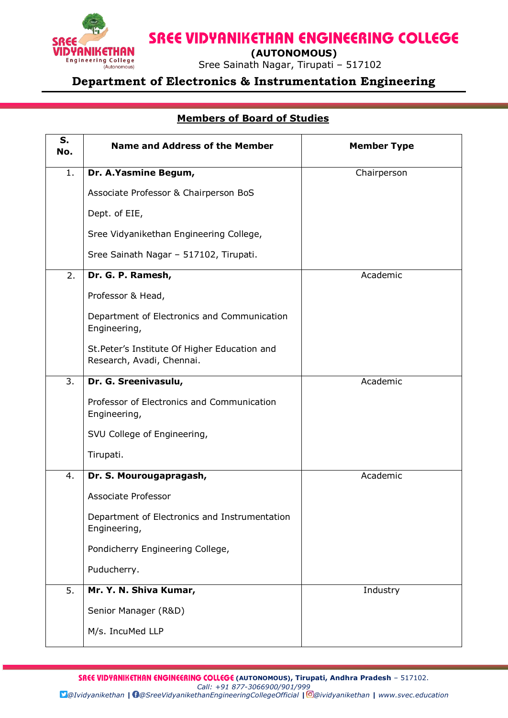

**SREE VIDYANIKETHAN ENGINEERING COLLEGE** 

 **(AUTONOMOUS)**

Engineering College<br>
(ALICORDINGLES) Sree Sainath Nagar, Tirupati – 517102

## **Department of Electronics & Instrumentation Engineering**

## **Members of Board of Studies**

| S.<br>No.        | <b>Name and Address of the Member</b>                                      | <b>Member Type</b> |
|------------------|----------------------------------------------------------------------------|--------------------|
| 1.               | Dr. A.Yasmine Begum,                                                       | Chairperson        |
|                  | Associate Professor & Chairperson BoS                                      |                    |
|                  | Dept. of EIE,                                                              |                    |
|                  | Sree Vidyanikethan Engineering College,                                    |                    |
|                  | Sree Sainath Nagar - 517102, Tirupati.                                     |                    |
| 2.               | Dr. G. P. Ramesh,                                                          | Academic           |
|                  | Professor & Head,                                                          |                    |
|                  | Department of Electronics and Communication<br>Engineering,                |                    |
|                  | St. Peter's Institute Of Higher Education and<br>Research, Avadi, Chennai. |                    |
| 3.               | Dr. G. Sreenivasulu,                                                       | Academic           |
|                  | Professor of Electronics and Communication<br>Engineering,                 |                    |
|                  | SVU College of Engineering,                                                |                    |
|                  | Tirupati.                                                                  |                    |
| 4.               | Dr. S. Mourougapragash,                                                    | Academic           |
|                  | Associate Professor                                                        |                    |
|                  | Department of Electronics and Instrumentation<br>Engineering,              |                    |
|                  | Pondicherry Engineering College,                                           |                    |
|                  | Puducherry.                                                                |                    |
| $\overline{5}$ . | Mr. Y. N. Shiva Kumar,                                                     | Industry           |
|                  | Senior Manager (R&D)                                                       |                    |
|                  | M/s. IncuMed LLP                                                           |                    |